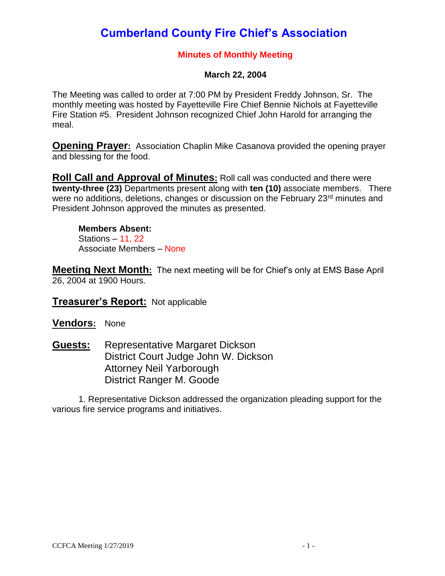# **Cumberland County Fire Chief's Association**

#### **Minutes of Monthly Meeting**

#### **March 22, 2004**

The Meeting was called to order at 7:00 PM by President Freddy Johnson, Sr. The monthly meeting was hosted by Fayetteville Fire Chief Bennie Nichols at Fayetteville Fire Station #5. President Johnson recognized Chief John Harold for arranging the meal.

**Opening Prayer:** Association Chaplin Mike Casanova provided the opening prayer and blessing for the food.

**Roll Call and Approval of Minutes:** Roll call was conducted and there were **twenty-three (23)** Departments present along with **ten (10)** associate members. There were no additions, deletions, changes or discussion on the February 23<sup>rd</sup> minutes and President Johnson approved the minutes as presented.

**Members Absent:** Stations – 11, 22 Associate Members – None

**Meeting Next Month:** The next meeting will be for Chief's only at EMS Base April 26, 2004 at 1900 Hours.

**Treasurer's Report:** Not applicable

**Vendors:** None

**Guests:** Representative Margaret Dickson District Court Judge John W. Dickson Attorney Neil Yarborough District Ranger M. Goode

1. Representative Dickson addressed the organization pleading support for the various fire service programs and initiatives.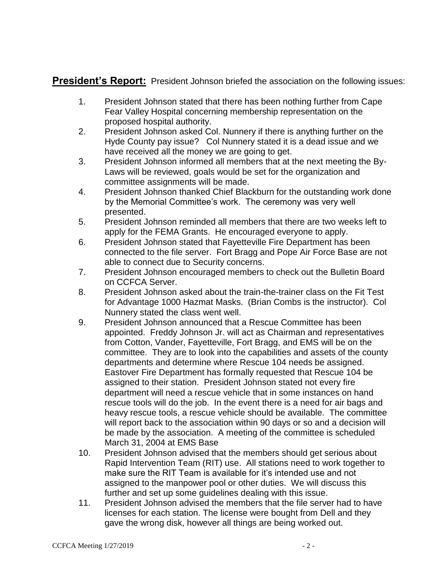**President's Report:** President Johnson briefed the association on the following issues:

- 1. President Johnson stated that there has been nothing further from Cape Fear Valley Hospital concerning membership representation on the proposed hospital authority.
- 2. President Johnson asked Col. Nunnery if there is anything further on the Hyde County pay issue? Col Nunnery stated it is a dead issue and we have received all the money we are going to get.
- 3. President Johnson informed all members that at the next meeting the By-Laws will be reviewed, goals would be set for the organization and committee assignments will be made.
- 4. President Johnson thanked Chief Blackburn for the outstanding work done by the Memorial Committee's work. The ceremony was very well presented.
- 5. President Johnson reminded all members that there are two weeks left to apply for the FEMA Grants. He encouraged everyone to apply.
- 6. President Johnson stated that Fayetteville Fire Department has been connected to the file server. Fort Bragg and Pope Air Force Base are not able to connect due to Security concerns.
- 7. President Johnson encouraged members to check out the Bulletin Board on CCFCA Server.
- 8. President Johnson asked about the train-the-trainer class on the Fit Test for Advantage 1000 Hazmat Masks. (Brian Combs is the instructor). Col Nunnery stated the class went well.
- 9. President Johnson announced that a Rescue Committee has been appointed. Freddy Johnson Jr. will act as Chairman and representatives from Cotton, Vander, Fayetteville, Fort Bragg, and EMS will be on the committee. They are to look into the capabilities and assets of the county departments and determine where Rescue 104 needs be assigned. Eastover Fire Department has formally requested that Rescue 104 be assigned to their station. President Johnson stated not every fire department will need a rescue vehicle that in some instances on hand rescue tools will do the job. In the event there is a need for air bags and heavy rescue tools, a rescue vehicle should be available. The committee will report back to the association within 90 days or so and a decision will be made by the association. A meeting of the committee is scheduled March 31, 2004 at EMS Base
- 10. President Johnson advised that the members should get serious about Rapid Intervention Team (RIT) use. All stations need to work together to make sure the RIT Team is available for it's intended use and not assigned to the manpower pool or other duties. We will discuss this further and set up some guidelines dealing with this issue.
- 11. President Johnson advised the members that the file server had to have licenses for each station. The license were bought from Dell and they gave the wrong disk, however all things are being worked out.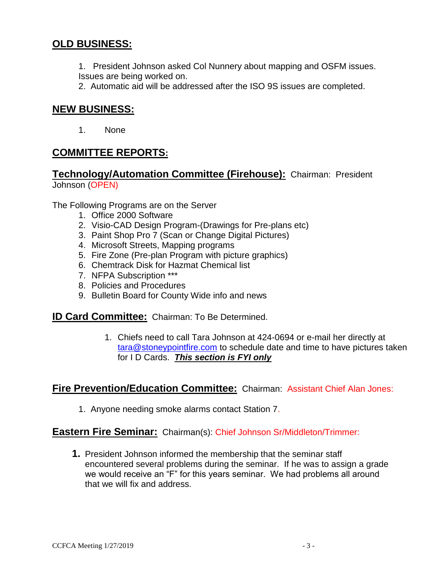# **OLD BUSINESS:**

1. President Johnson asked Col Nunnery about mapping and OSFM issues. Issues are being worked on.

2. Automatic aid will be addressed after the ISO 9S issues are completed.

### **NEW BUSINESS:**

1. None

# **COMMITTEE REPORTS:**

**Technology/Automation Committee (Firehouse):** Chairman: President Johnson (OPEN)

The Following Programs are on the Server

- 1. Office 2000 Software
- 2. Visio-CAD Design Program-(Drawings for Pre-plans etc)
- 3. Paint Shop Pro 7 (Scan or Change Digital Pictures)
- 4. Microsoft Streets, Mapping programs
- 5. Fire Zone (Pre-plan Program with picture graphics)
- 6. Chemtrack Disk for Hazmat Chemical list
- 7. NFPA Subscription \*\*\*
- 8. Policies and Procedures
- 9. Bulletin Board for County Wide info and news

**ID Card Committee:** Chairman: To Be Determined.

1. Chiefs need to call Tara Johnson at 424-0694 or e-mail her directly at [tara@stoneypointfire.com](mailto:tara@stoneypointfire.com) to schedule date and time to have pictures taken for I D Cards. *This section is FYI only* 

### **Fire Prevention/Education Committee:** Chairman: Assistant Chief Alan Jones:

1. Anyone needing smoke alarms contact Station 7.

#### **Eastern Fire Seminar:** Chairman(s): Chief Johnson Sr/Middleton/Trimmer:

**1.** President Johnson informed the membership that the seminar staff encountered several problems during the seminar. If he was to assign a grade we would receive an "F" for this years seminar. We had problems all around that we will fix and address.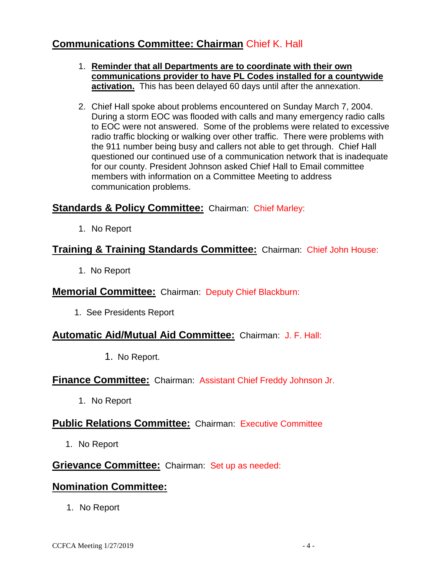# **Communications Committee: Chairman** Chief K. Hall

- 1. **Reminder that all Departments are to coordinate with their own communications provider to have PL Codes installed for a countywide activation.** This has been delayed 60 days until after the annexation.
- 2. Chief Hall spoke about problems encountered on Sunday March 7, 2004. During a storm EOC was flooded with calls and many emergency radio calls to EOC were not answered. Some of the problems were related to excessive radio traffic blocking or walking over other traffic. There were problems with the 911 number being busy and callers not able to get through. Chief Hall questioned our continued use of a communication network that is inadequate for our county. President Johnson asked Chief Hall to Email committee members with information on a Committee Meeting to address communication problems.

# **Standards & Policy Committee:** Chairman: Chief Marley:

1. No Report

# **Training & Training Standards Committee:** Chairman: Chief John House:

1. No Report

### **Memorial Committee:** Chairman: Deputy Chief Blackburn:

1. See Presidents Report

### **Automatic Aid/Mutual Aid Committee:** Chairman: J. F. Hall:

1. No Report.

### **Finance Committee:** Chairman: Assistant Chief Freddy Johnson Jr.

1. No Report

# **Public Relations Committee:** Chairman: Executive Committee

1. No Report

# **Grievance Committee:** Chairman: Set up as needed:

# **Nomination Committee:**

1. No Report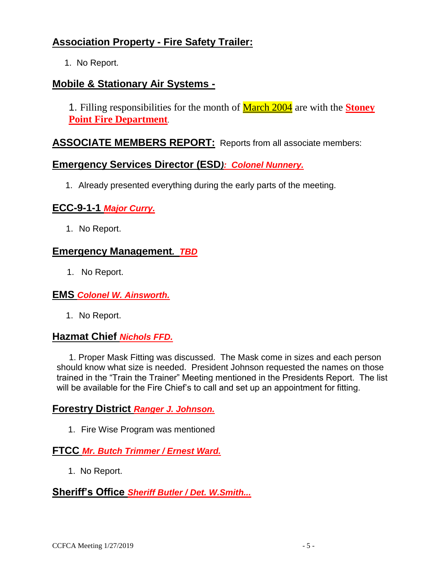# **Association Property - Fire Safety Trailer:**

1. No Report.

### **Mobile & Stationary Air Systems -**

1. Filling responsibilities for the month of March 2004 are with the **Stoney Point Fire Department**.

### **ASSOCIATE MEMBERS REPORT:** Reports from all associate members:

#### **Emergency Services Director (ESD***): Colonel Nunnery.*

1. Already presented everything during the early parts of the meeting.

#### **ECC-9-1-1** *Major Curry.*

1. No Report.

### **Emergency Management***. TBD*

1. No Report.

#### **EMS** *Colonel W. Ainsworth.*

1. No Report.

#### **Hazmat Chief** *Nichols FFD.*

 1. Proper Mask Fitting was discussed. The Mask come in sizes and each person should know what size is needed. President Johnson requested the names on those trained in the "Train the Trainer" Meeting mentioned in the Presidents Report. The list will be available for the Fire Chief's to call and set up an appointment for fitting.

#### **Forestry District** *Ranger J. Johnson.*

1. Fire Wise Program was mentioned

#### **FTCC** *Mr. Butch Trimmer / Ernest Ward.*

1. No Report.

#### **Sheriff's Office** *Sheriff Butler / Det. W.Smith...*